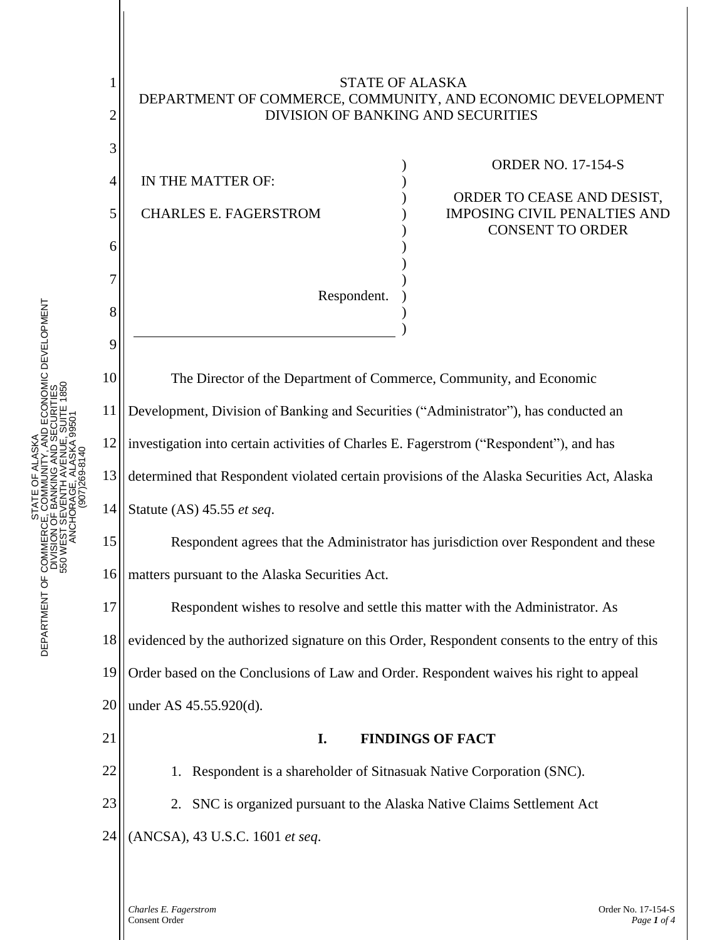

*Charles E. Fagerstrom* Order No. 17-154-S Consent Order *Page 1 of 4*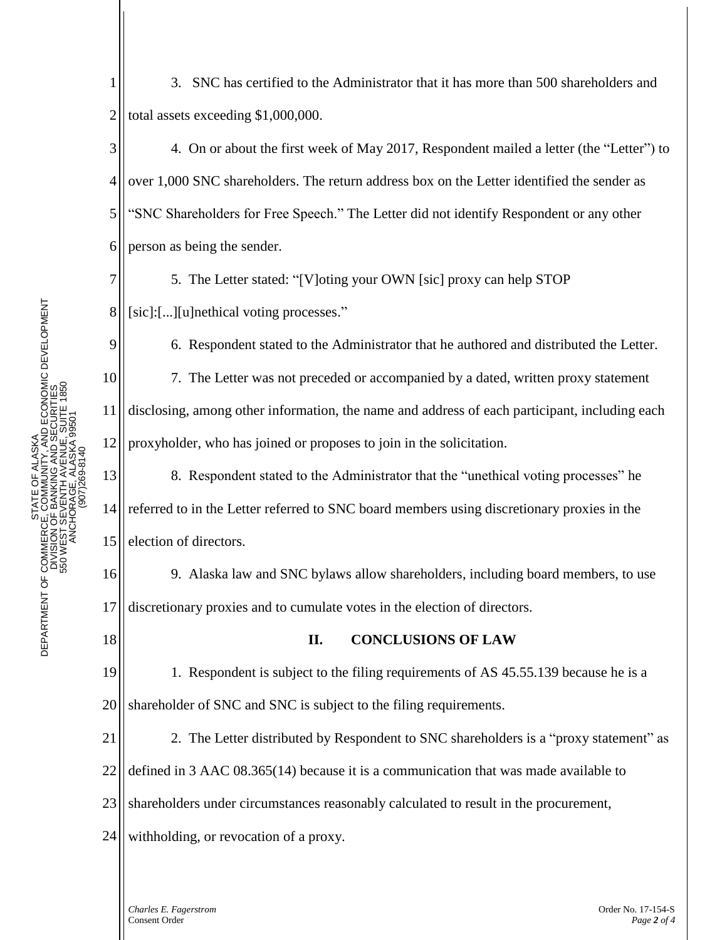1 2 3. SNC has certified to the Administrator that it has more than 500 shareholders and total assets exceeding \$1,000,000.

3 4 5 6 4. On or about the first week of May 2017, Respondent mailed a letter (the "Letter") to over 1,000 SNC shareholders. The return address box on the Letter identified the sender as "SNC Shareholders for Free Speech." The Letter did not identify Respondent or any other person as being the sender.

5. The Letter stated: "[V]oting your OWN [sic] proxy can help STOP [sic]:[...][u]nethical voting processes."

6. Respondent stated to the Administrator that he authored and distributed the Letter.

7. The Letter was not preceded or accompanied by a dated, written proxy statement disclosing, among other information, the name and address of each participant, including each proxyholder, who has joined or proposes to join in the solicitation.

13 14 15 8. Respondent stated to the Administrator that the "unethical voting processes" he referred to in the Letter referred to SNC board members using discretionary proxies in the election of directors.

16 17 9. Alaska law and SNC bylaws allow shareholders, including board members, to use discretionary proxies and to cumulate votes in the election of directors.

## 18

7

8

9

10

11

12

## **II. CONCLUSIONS OF LAW**

19 20 1. Respondent is subject to the filing requirements of AS 45.55.139 because he is a shareholder of SNC and SNC is subject to the filing requirements.

21 2. The Letter distributed by Respondent to SNC shareholders is a "proxy statement" as

22 defined in 3 AAC 08.365(14) because it is a communication that was made available to

23 shareholders under circumstances reasonably calculated to result in the procurement,

24 withholding, or revocation of a proxy.

> *Charles E. Fagerstrom* Order No. 17-154-S Consent Order *Page 2 of 4*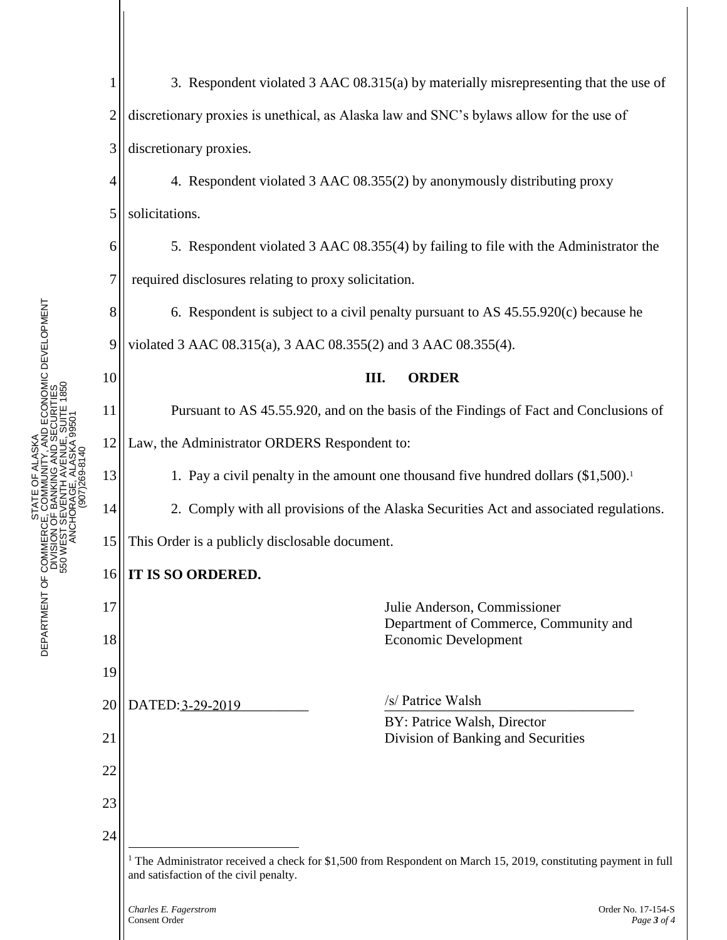| $\mathbf{1}$   | 3. Respondent violated 3 AAC 08.315(a) by materially misrepresenting that the use of                                                                                  |
|----------------|-----------------------------------------------------------------------------------------------------------------------------------------------------------------------|
| $\overline{2}$ | discretionary proxies is unethical, as Alaska law and SNC's bylaws allow for the use of                                                                               |
| 3              | discretionary proxies.                                                                                                                                                |
| 4              | 4. Respondent violated 3 AAC 08.355(2) by anonymously distributing proxy                                                                                              |
| 5              | solicitations.                                                                                                                                                        |
| 6              | 5. Respondent violated 3 AAC 08.355(4) by failing to file with the Administrator the                                                                                  |
| 7              | required disclosures relating to proxy solicitation.                                                                                                                  |
| 8              | 6. Respondent is subject to a civil penalty pursuant to AS 45.55.920(c) because he                                                                                    |
| 9              | violated 3 AAC 08.315(a), 3 AAC 08.355(2) and 3 AAC 08.355(4).                                                                                                        |
| 10             | III.<br><b>ORDER</b>                                                                                                                                                  |
| 11             | Pursuant to AS 45.55.920, and on the basis of the Findings of Fact and Conclusions of                                                                                 |
| 12             | Law, the Administrator ORDERS Respondent to:                                                                                                                          |
| 13             | 1. Pay a civil penalty in the amount one thousand five hundred dollars $(\$1,500)^{1}$                                                                                |
| 14             | 2. Comply with all provisions of the Alaska Securities Act and associated regulations.                                                                                |
| 15             | This Order is a publicly disclosable document.                                                                                                                        |
| 16             | <b>IT IS SO ORDERED.</b>                                                                                                                                              |
| 17             | Julie Anderson, Commissioner<br>Department of Commerce, Community and                                                                                                 |
| 18             | <b>Economic Development</b>                                                                                                                                           |
| 19             |                                                                                                                                                                       |
| 20             | /s/ Patrice Walsh<br>DATED: 3-29-2019<br>BY: Patrice Walsh, Director                                                                                                  |
| 21             | Division of Banking and Securities                                                                                                                                    |
| 22             |                                                                                                                                                                       |
| 23             |                                                                                                                                                                       |
| 24             |                                                                                                                                                                       |
|                | <sup>1</sup> The Administrator received a check for \$1,500 from Respondent on March 15, 2019, constituting payment in full<br>and satisfaction of the civil penalty. |
|                |                                                                                                                                                                       |